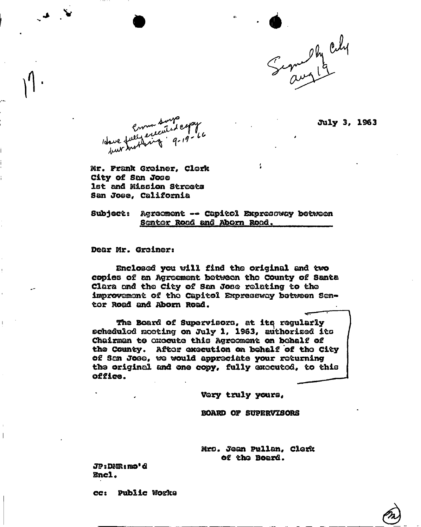

ftily 3, 1963

Crown Sured Cops

Mr. Prank Greiner, Clerk City of San Joae 1st and Mission Streets San Joee, California

Subject: Agreement —\* Capitol Expreooway between Sontor Road and Aborn Road.

Dear Mr. Greiner:

Enclosed you will find the original and two copies of an Agreement between the County of Santa Clara and the City of San Jose relating to the improvement of tho Capitol Esrproaeway between Sentor Road and Aborn Road.

The Board of Supervisors, at its regularly scheduled mooting on July 1, 1963, authorized its Chairman to execute this Agreement on behalf of the County. After execution on behalf of the City of Son Joae, wo would appreciate your returning the original and one copy, fully executed, to this office.

Very truly yours,

BOARD OF SUPERVISORS

Mrs. Jean Pullan, Clerk of the Board.

JPsDMRtmo'd **Encl.** 

ccs Public works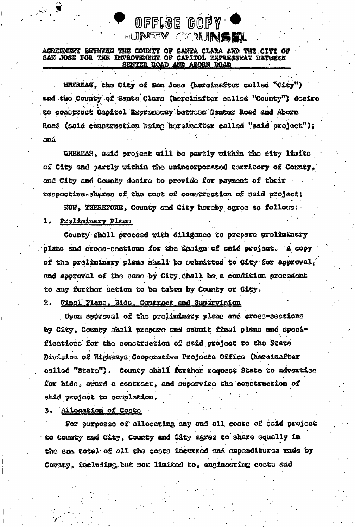## AGREEMENT BETWEEN THE COUNTY OF SANTA CLARA AND THE CITY OF SAN JOSE FOR THE IMPROVEMENT OF CAPITOL EXPRESSWAY BETWEEN **ABORN ROAD ROAD AND**

WHEREAS, the City of San Jose (hereinaftor called "City") and the County of Santa Clara (heroinafter called "County") desire to construct Capitol Expressury between Senter Road and Aborn Road (said construction being horsinafter called "said project"); and

OFFIGE GOPY

**MUINTEY CEANINGEL** 

WHEREAS, said project will be partly within the eity limits of City and partly within the unincorporated textitory of County, and City and County desire to provide for payment of their respective shares of the cost of construction of said project;

NOW, THEREFORE, County and City hereby agree as follows:  $1.$ Proliningry Plano

County shall proceed with diligence to prepare preliminary plans and cross-sections for the design of said project. A copy of the preliminary plans shall be submitted to City for approval, and approval of the same by City shall be a condition procedent to any further action to be taken by County or City.

## Final Plans, Bids. Contract and Supervision 2.

Upom approval of the preliminary plans and cross-sections by City, County shall prepare and submit final plans and specifications for the construction of said project to the State Division of Highways Cooperative Projects Office (hereinafter called "Stato"). County shall further request State to advertise for bide, award a contract, and supervise the construction of said project to completion.

3. Allocation of Costs

For purposes of allocating any and all costs of said project to County and City. County and City agree to share equally in the sum total of all the costs incurred and expenditures made by County, including, but not limited to, engineering costs and.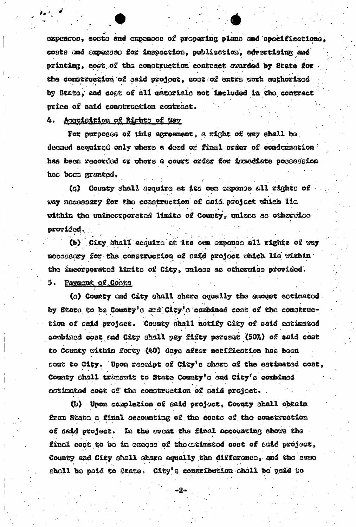expenses, costs and expenses of proparing plans and specifications, costs and expenses for inspection, publication, advertising and printing, cost of the construction contract avarded by State for the comptruction of caid project, costrof extra work authorized by State, and cost of all materials not included in the contract price of said construction contract.

## 4. Acquisition of Rights of Way

For purposes of this agreement, a right of way shall be. decated acquired only where a deed or final order of condemnation has been recorded or where a court order for immediate possession has been granted.

County shall acquire at its own expense all rights of  $(a)$ way necessary for the construction of said project which lie within the unincorporated limits of County, unless as otherwice provided.

(b) City shall acquire at its own expense all rights of way necossary for the construction of said project which lie within the incorporated limits of City, unless as otherwise provided. 5. Paymont of Coots

(a) County and City shall share equally the amount estimated. by State to be County's and City's combined cost of the construction of said project. County shall notify City of said estimated combined cost and City shall pay fifty percent (50%) of said cost to County within forty (40) days after notification has been sent to City. Upon receipt of City's share of the estimated cost, County shall transmit to State County's and City's combined ostimated cost of the comstruction of said project.

(b) Upon completion of said project, County shall obtain from State a final accounting of the costs of the construction of said project. In the ovent the final accounting shows the final coot to be in excess of the eximated cost of said project, County and City shall share equally the difference, and the same shall be paid to State. City's contribution shall be paid to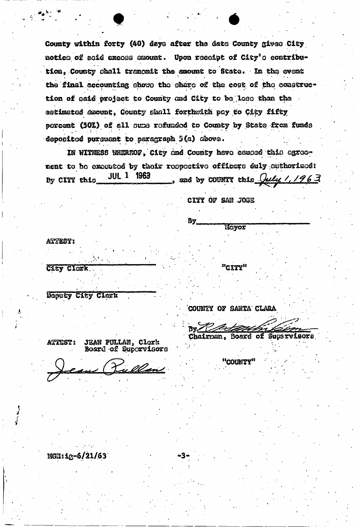County within forty (40) days after the date County gives City notice of said excess amount. Upon receipt of City's contribution, County shall transmit the amount to State. In the event the final accounting shows the share of the cost of the construction of said project to County and City to be less than the estimated amount, County shall forthwith pay to City fifty percent (50%) of all sums refunded to County by State from funds deposited pursuant to paragraph 5(a) above.

IN WITNESS WHERFOF, City and County have caused this agreement to be executed by their respective officers duly euthorized: **JUL 1 1963** , and by COUNTY this  $\sqrt{u\ell y}$  / / 963 By CITY this

Bу

CITY OF SAN JOSE

Mayox

"CITY"

ATTEST:

City Clerk

Deputy City Clerk

COUNTY OF SANTA CLARA

"COUNTY"

Chairman, Board of Supervisors

ATTEST: **JEAN PULLAN, Clerk** Board of Supervisors

ean Pullen

MGN: 1g-6/21/63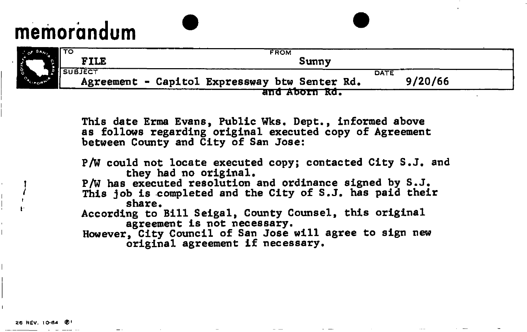## memorandum

|                  | ι το             | <b>FROM</b>                                                      |  |
|------------------|------------------|------------------------------------------------------------------|--|
|                  | <b>FILE</b>      | Sunny                                                            |  |
| <b>CALLADDAM</b> | <b>I</b> SUBJECT | DATE<br>9/20/66<br>Agreement - Capitol Expressway btw Senter Rd. |  |
|                  |                  | and Aborn Rd.                                                    |  |

This date Erma Evans, Public Wks. Dept., informed above as follows regarding original executed copy of Agreement between County and City of San Jose:

P/W could not locate executed copy; contacted City S.J. and they had no original. I P/W has executed resolution and ordinance signed by S.J. This job is completed and the City of S.J. has paid their<br>share. According to Bill Seigal, County Counsel, this original agreement is not necessary. However, City Council of San Jose will agree to sign new original agreement if necessary.